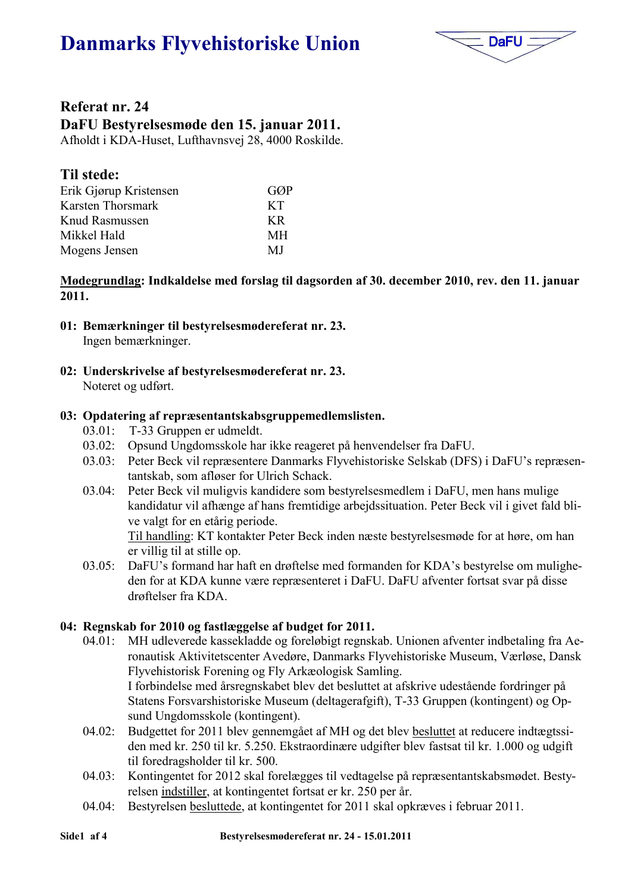# **Danmarks Flyvehistoriske Union**



## Referat nr. 24 DaFU Bestyrelsesmøde den 15. januar 2011.

Afholdt i KDA-Huset, Lufthavnsvej 28, 4000 Roskilde.

# **Til stede:**

| Erik Gjørup Kristensen | GØP |
|------------------------|-----|
| Karsten Thorsmark      | KT. |
| Knud Rasmussen         | KR  |
| Mikkel Hald            | МH  |
| Mogens Jensen          | MJ  |

Mødegrundlag: Indkaldelse med forslag til dagsorden af 30. december 2010, rev. den 11. januar  $2011.$ 

- 01: Bemærkninger til bestyrelsesmødereferat nr. 23. Ingen bemærkninger.
- 02: Underskrivelse af bestyrelsesmødereferat nr. 23.

Noteret og udført.

### 03: Opdatering af repræsentantskabsgruppemedlemslisten.

- T-33 Gruppen er udmeldt.  $03.01:$
- 03.02: Opsund Ungdomsskole har ikke reageret på henvendelser fra DaFU.
- Peter Beck vil repræsentere Danmarks Flyvehistoriske Selskab (DFS) i DaFU's repræsen- $03.03:$ tantskab, som afløser for Ulrich Schack.
- Peter Beck vil muligvis kandidere som bestyrelsesmedlem i DaFU, men hans mulige  $03.04:$ kandidatur vil afhænge af hans fremtidige arbeidssituation. Peter Beck vil i givet fald blive valgt for en etårig periode.

Til handling: KT kontakter Peter Beck inden næste bestyrelsesmøde for at høre, om han er villig til at stille op.

DaFU's formand har haft en drøftelse med formanden for KDA's bestyrelse om mulighe- $03.05$ : den for at KDA kunne være repræsenteret i DaFU. DaFU afventer fortsat svar på disse drøftelser fra KDA.

### 04: Regnskab for 2010 og fastlæggelse af budget for 2011.

- MH udleverede kassekladde og foreløbigt regnskab. Unionen afventer indbetaling fra Ae- $04.01:$ ronautisk Aktivitetscenter Avedøre, Danmarks Flyvehistoriske Museum, Værløse, Dansk Flyvehistorisk Forening og Fly Arkæologisk Samling. I forbindelse med årsregnskabet blev det besluttet at afskrive udestående fordringer på Statens Forsvarshistoriske Museum (deltagerafgift), T-33 Gruppen (kontingent) og Opsund Ungdomsskole (kontingent).
- Budgettet for 2011 blev gennemgået af MH og det blev besluttet at reducere indtægtssi- $04.02:$ den med kr. 250 til kr. 5.250. Ekstraordinære udgifter blev fastsat til kr. 1.000 og udgift til foredragsholder til kr. 500.
- $04.03$ : Kontingentet for 2012 skal forelægges til vedtagelse på repræsentantskabsmødet. Bestyrelsen indstiller, at kontingentet fortsat er kr. 250 per år.
- Bestyrelsen besluttede, at kontingentet for 2011 skal opkræves i februar 2011.  $04.04$ :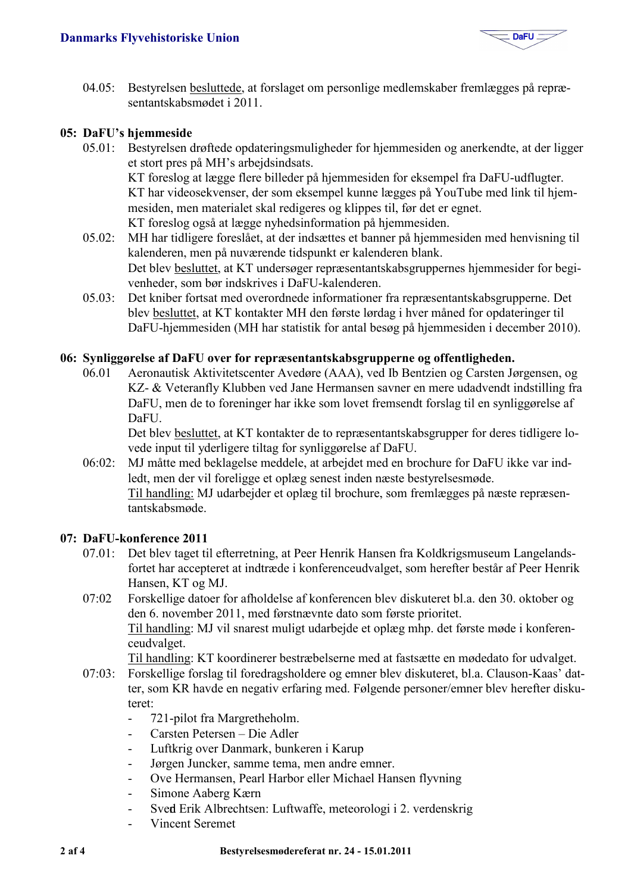

04.05: Bestyrelsen besluttede, at forslaget om personlige medlemskaber fremlægges på repræsentantskabsmødet i 2011

#### 05: DaFU's hjemmeside

- 05.01: Bestyrelsen drøftede opdateringsmuligheder for hjemmesiden og anerkendte, at der ligger et stort pres på MH's arbeidsindsats. KT foreslog at lægge flere billeder på hjemmesiden for eksempel fra DaFU-udflugter. KT har videosekvenser, der som eksempel kunne lægges på YouTube med link til hjemmesiden, men materialet skal redigeres og klippes til, før det er egnet. KT foreslog også at lægge nyhedsinformation på hjemmesiden.
- MH har tidligere foreslået, at der indsættes et banner på hjemmesiden med henvisning til  $05.02$ : kalenderen, men på nuværende tidspunkt er kalenderen blank. Det blev besluttet, at KT undersøger repræsentantskabsgruppernes hjemmesider for begivenheder, som bør indskrives i DaFU-kalenderen.
- Det kniber fortsat med overordnede informationer fra repræsentantskabsgrupperne. Det  $05.03:$ blev besluttet, at KT kontakter MH den første lørdag i hver måned for opdateringer til DaFU-hjemmesiden (MH har statistik for antal besøg på hjemmesiden i december 2010).

#### 06: Synliggørelse af DaFU over for repræsentantskabsgrupperne og offentligheden.

 $0601$ Aeronautisk Aktivitetscenter Avedøre (AAA), ved Ib Bentzien og Carsten Jørgensen, og KZ- & Veteranfly Klubben ved Jane Hermansen savner en mere udadvendt indstilling fra DaFU, men de to foreninger har ikke som lovet fremsendt forslag til en synliggørelse af DaFU.

Det blev besluttet, at KT kontakter de to repræsentantskabsgrupper for deres tidligere lovede input til yderligere tiltag for synliggørelse af DaFU.

 $06:02$ : MJ måtte med beklagelse meddele, at arbejdet med en brochure for DaFU ikke var indledt, men der vil foreligge et oplæg senest inden næste bestyrelsesmøde. Til handling: MJ udarbejder et oplæg til brochure, som fremlægges på næste repræsentantskabsmøde

#### 07: DaFU-konference 2011

- 07.01: Det blev taget til efterretning, at Peer Henrik Hansen fra Koldkrigsmuseum Langelandsfortet har accepteret at indtræde i konferenceudvalget, som herefter består af Peer Henrik Hansen, KT og MJ.
- Forskellige datoer for afholdelse af konferencen blev diskuteret bl.a. den 30. oktober og  $07:02$ den 6. november 2011, med førstnævnte dato som første prioritet. Til handling: MJ vil snarest muligt udarbejde et oplæg mhp. det første møde i konferenceudvalget.

Til handling: KT koordinerer bestræbelserne med at fastsætte en mødedato for udvalget.

- Forskellige forslag til foredragsholdere og emner blev diskuteret, bl.a. Clauson-Kaas' dat- $07:03:$ ter, som KR havde en negativ erfaring med. Følgende personer/emner blev herefter diskuteret<sup>-</sup>
	- 721-pilot fra Margretheholm.  $\overline{a}$
	- Carsten Petersen Die Adler  $\mathbf{r}$
	- Luftkrig over Danmark, bunkeren i Karup
	- Jørgen Juncker, samme tema, men andre emner.  $\mathbb{R}^2$
	- Ove Hermansen, Pearl Harbor eller Michael Hansen flyvning  $\mathbb{R}^n$
	- Simone Aaberg Kærn  $\sim$
	- Sved Erik Albrechtsen: Luftwaffe, meteorologi i 2. verdenskrig  $\mathbf{r}$
	- **Vincent Seremet**  $\mathbf{r}$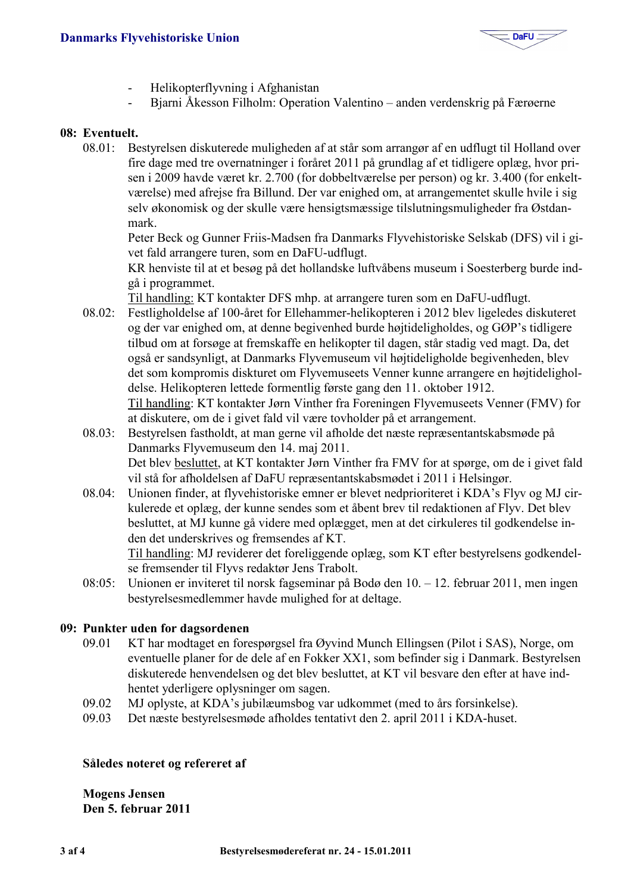

- Helikopterflyvning i Afghanistan
- Bjarni Åkesson Filholm: Operation Valentino anden verdenskrig på Færøerne  $\overline{a}$

#### 08: Eventuelt.

 $08.01:$ Bestyrelsen diskuterede muligheden af at står som arrangør af en udflugt til Holland over fire dage med tre overnatninger i foråret 2011 på grundlag af et tidligere oplæg, hvor prisen i 2009 havde været kr. 2.700 (for dobbeltværelse per person) og kr. 3.400 (for enkeltværelse) med afrejse fra Billund. Der var enighed om, at arrangementet skulle hvile i sig selv økonomisk og der skulle være hensigtsmæssige tilslutningsmuligheder fra Østdanmark.

Peter Beck og Gunner Friis-Madsen fra Danmarks Flyvehistoriske Selskab (DFS) vil i givet fald arrangere turen, som en DaFU-udflugt.

KR henviste til at et besøg på det hollandske luftvåbens museum i Soesterberg burde indgå i programmet.

Til handling: KT kontakter DFS mhp. at arrangere turen som en DaFU-udflugt.

- $08.02$ : Festligholdelse af 100-året for Ellehammer-helikopteren i 2012 blev ligeledes diskuteret og der var enighed om, at denne begivenhed burde højtideligholdes, og GØP's tidligere tilbud om at forsøge at fremskaffe en helikopter til dagen, står stadig ved magt. Da, det også er sandsynligt, at Danmarks Flyvemuseum vil højtideligholde begivenheden, blev det som kompromis diskturet om Flyvemuseets Venner kunne arrangere en højtideligholdelse. Helikopteren lettede formentlig første gang den 11. oktober 1912. Til handling: KT kontakter Jørn Vinther fra Foreningen Flyvemuseets Venner (FMV) for at diskutere, om de i givet fald vil være tovholder på et arrangement.
- $08.03:$ Bestyrelsen fastholdt, at man gerne vil afholde det næste repræsentantskabsmøde på Danmarks Flyvemuseum den 14. maj 2011. Det blev besluttet, at KT kontakter Jørn Vinther fra FMV for at spørge, om de i givet fald vil stå for afholdelsen af DaFU repræsentantskabsmødet i 2011 i Helsingør.
- Unionen finder, at flyvehistoriske emner er blevet nedprioriteret i KDA's Flyv og MJ cir- $08.04:$ kulerede et oplæg, der kunne sendes som et åbent brev til redaktionen af Flyv. Det blev besluttet, at MJ kunne gå videre med oplægget, men at det cirkuleres til godkendelse inden det underskrives og fremsendes af KT.

Til handling: MJ reviderer det foreliggende oplæg, som KT efter bestyrelsens godkendelse fremsender til Flyvs redaktør Jens Trabolt.

Unionen er inviteret til norsk fagseminar på Bodø den  $10 - 12$ . februar 2011, men ingen  $08:05$ : bestyrelsesmedlemmer havde mulighed for at deltage.

#### 09: Punkter uden for dagsordenen

- $0901$ KT har modtaget en forespørgsel fra Øyvind Munch Ellingsen (Pilot i SAS), Norge, om eventuelle planer for de dele af en Fokker XX1, som befinder sig i Danmark. Bestyrelsen diskuterede henvendelsen og det blev besluttet, at KT vil besvare den efter at have indhentet yderligere oplysninger om sagen.
- MJ oplyste, at KDA's jubilæumsbog var udkommet (med to års forsinkelse). 09.02
- 09.03 Det næste bestyrelsesmøde afholdes tentativt den 2. april 2011 i KDA-huset.

#### Således noteret og refereret af

**Mogens Jensen** Den 5. februar 2011